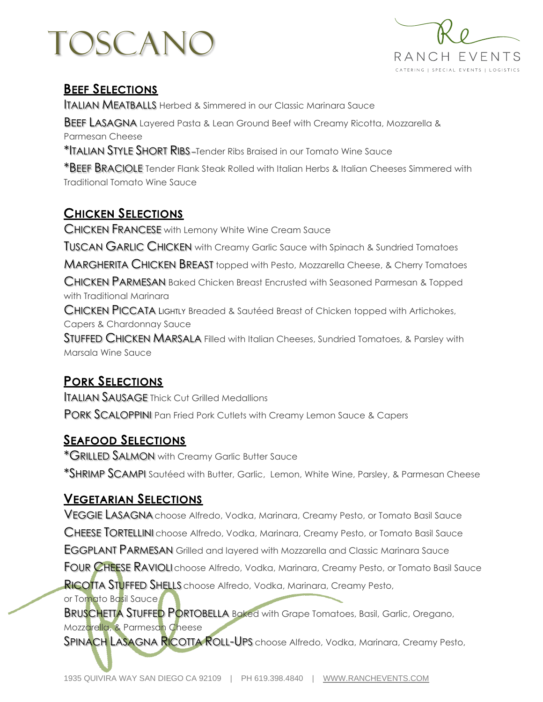# OSCAN



## **BEEF SELECTIONS**

ITALIAN MEATBALLS Herbed & Simmered in our Classic Marinara Sauce

BEEF LASAGNA Layered Pasta & Lean Ground Beef with Creamy Ricotta, Mozzarella & Parmesan Cheese

\*ITALIAN STYLE SHORT RIBS –Tender Ribs Braised in our Tomato Wine Sauce

\*BEEF BRACIOLE Tender Flank Steak Rolled with Italian Herbs & Italian Cheeses Simmered with Traditional Tomato Wine Sauce

## **CHICKEN SELECTIONS**

CHICKEN FRANCESE with Lemony White Wine Cream Sauce

**TUSCAN GARLIC CHICKEN** with Creamy Garlic Sauce with Spinach & Sundried Tomatoes

MARGHERITA CHICKEN BREAST topped with Pesto, Mozzarella Cheese, & Cherry Tomatoes

CHICKEN PARMESAN Baked Chicken Breast Encrusted with Seasoned Parmesan & Topped with Traditional Marinara

CHICKEN PICCATA LIGHTLY Breaded & Sautéed Breast of Chicken topped with Artichokes, Capers & Chardonnay Sauce

STUFFED CHICKEN MARSALA Filled with Italian Cheeses, Sundried Tomatoes, & Parsley with Marsala Wine Sauce

# **PORK SELECTIONS**

ITALIAN SAUSAGE Thick Cut Grilled Medallions

**PORK SCALOPPINI** Pan Fried Pork Cutlets with Creamy Lemon Sauce & Capers

### **SEAFOOD SELECTIONS**

\*GRILLED SALMON with Creamy Garlic Butter Sauce \*SHRIMP SCAMPI Sautéed with Butter, Garlic, Lemon, White Wine, Parsley, & Parmesan Cheese

### **VEGETARIAN SELECTIONS**

VEGGIE LASAGNA choose Alfredo, Vodka, Marinara, Creamy Pesto, or Tomato Basil Sauce CHEESE TORTELLINI choose Alfredo, Vodka, Marinara, Creamy Pesto, or Tomato Basil Sauce EGGPLANT PARMESAN Grilled and layered with Mozzarella and Classic Marinara Sauce FOUR CHEESE RAVIOLI choose Alfredo, Vodka, Marinara, Creamy Pesto, or Tomato Basil Sauce RICOTTA STUFFED SHELLS choose Alfredo, Vodka, Marinara, Creamy Pesto, or Tomato Basil Sauce

**BRUSCHETTA STUFFED PORTOBELLA Baked with Grape Tomatoes, Basil, Garlic, Oregano,** Mozzarella, & Parmesan Cheese

SPINACH LASAGNA RICOTTA ROLL-UPS choose Alfredo, Vodka, Marinara, Creamy Pesto,